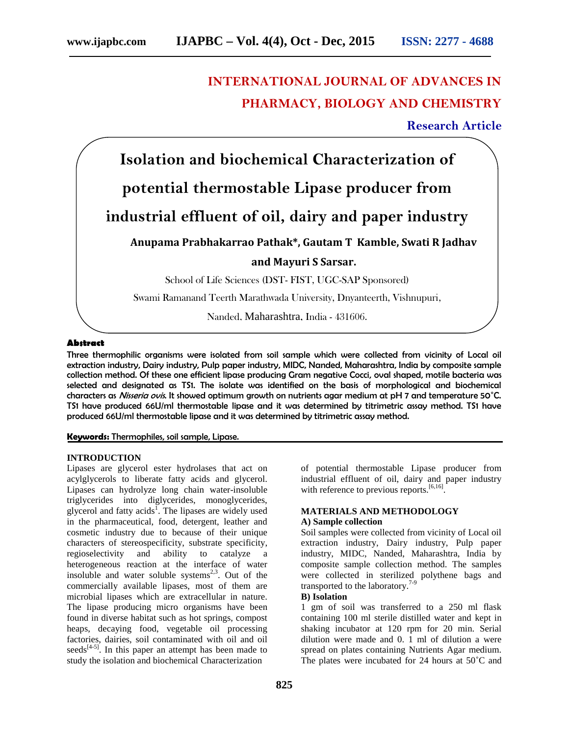# **INTERNATIONAL JOURNAL OF ADVANCES IN PHARMACY, BIOLOGY AND CHEMISTRY**

**Research Article**



## **Abstract**

Three thermophilic organisms were isolated from soil sample which were collected from vicinity of Local oil extraction industry, Dairy industry, Pulp paper industry, MIDC, Nanded, Maharashtra, India by composite sample collection method. Of these one efficient lipase producing Gram negative Cocci, oval shaped, motile bacteria was selected and designated as TS1. The isolate was identified on the basis of morphological and biochemical characters as *Nisseria ovis*. It showed optimum growth on nutrients agar medium at pH 7 and temperature 50˚C. TS1 have produced 66U/ml thermostable lipase and it was determined by titrimetric assay method. TS1 have produced 66U/ml thermostable lipase and it was determined by titrimetric assay method.

# **Keywords:** Thermophiles, soil sample, Lipase.

## **INTRODUCTION**

Lipases are glycerol ester hydrolases that act on acylglycerols to liberate fatty acids and glycerol. Lipases can hydrolyze long chain water-insoluble triglycerides into diglycerides, monoglycerides, glycerol and fatty acids<sup>1</sup>. The lipases are widely used in the pharmaceutical, food, detergent, leather and cosmetic industry due to because of their unique characters of stereospecificity, substrate specificity, regioselectivity and ability to catalyze a heterogeneous reaction at the interface of water insoluble and water soluble systems $2,3$ . Out of the commercially available lipases, most of them are microbial lipases which are extracellular in nature. The lipase producing micro organisms have been found in diverse habitat such as hot springs, compost heaps, decaying food, vegetable oil processing factories, dairies, soil contaminated with oil and oil seeds<sup> $[4-5]$ </sup>. In this paper an attempt has been made to study the isolation and biochemical Characterization

of potential thermostable Lipase producer from industrial effluent of oil, dairy and paper industry with reference to previous reports.<sup>[6,16]</sup>.

# **MATERIALS AND METHODOLOGY A) Sample collection**

Soil samples were collected from vicinity of Local oil extraction industry, Dairy industry, Pulp paper industry, MIDC, Nanded, Maharashtra, India by composite sample collection method. The samples were collected in sterilized polythene bags and transported to the laboratory.<sup>7-9</sup>

# **B) Isolation**

1 gm of soil was transferred to a 250 ml flask containing 100 ml sterile distilled water and kept in shaking incubator at 120 rpm for 20 min. Serial dilution were made and 0. 1 ml of dilution a were spread on plates containing Nutrients Agar medium. The plates were incubated for 24 hours at 50˚C and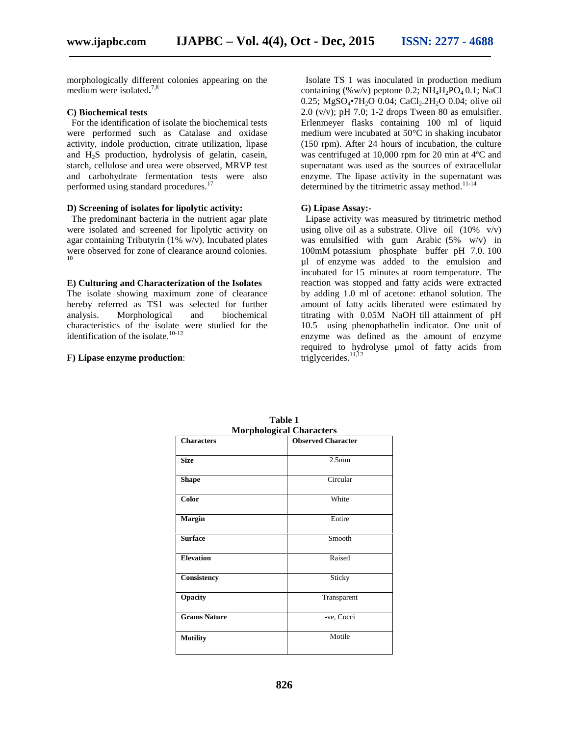morphologically different colonies appearing on the medium were isolated**.**7,8

## **C) Biochemical tests**

For the identification of isolate the biochemical tests were performed such as Catalase and oxidase activity, indole production, citrate utilization, lipase and H2S production, hydrolysis of gelatin, casein, starch, cellulose and urea were observed, MRVP test and carbohydrate fermentation tests were also performed using standard procedures.<sup>17</sup>

#### **D) Screening of isolates for lipolytic activity:**

The predominant bacteria in the nutrient agar plate were isolated and screened for lipolytic activity on agar containing Tributyrin (1% w/v). Incubated plates were observed for zone of clearance around colonies.

#### **E) Culturing and Characterization of the Isolates**

The isolate showing maximum zone of clearance hereby referred as TS1 was selected for further analysis. Morphological and biochemical characteristics of the isolate were studied for the identification of the isolate.<sup>10-12</sup>

#### **F) Lipase enzyme production**:

Isolate TS 1 was inoculated in production medium containing (%w/v) peptone 0.2;  $NH<sub>4</sub>H<sub>2</sub>PO<sub>4</sub> 0.1$ ; NaCl 0.25; MgSO<sub>4</sub>•7H<sub>2</sub>O 0.04; CaCl<sub>2</sub>.2H<sub>2</sub>O 0.04; olive oil  $2.0$  (v/v); pH 7.0; 1-2 drops Tween 80 as emulsifier. Erlenmeyer flasks containing 100 ml of liquid medium were incubated at 50°C in shaking incubator (150 rpm). After 24 hours of incubation, the culture was centrifuged at 10,000 rpm for 20 min at 4ºC and supernatant was used as the sources of extracellular enzyme. The lipase activity in the supernatant was determined by the titrimetric assay method.<sup>11-14</sup>

#### **G) Lipase Assay:-**

Lipase activity was measured by titrimetric method using olive oil as a substrate. Olive oil  $(10\% \text{ v/v})$ was emulsified with gum Arabic (5% w/v) in 100mM potassium phosphate buffer pH 7.0. 100 µl of enzyme was added to the emulsion and incubated for 15 minutes at room temperature. The reaction was stopped and fatty acids were extracted by adding 1.0 ml of acetone: ethanol solution. The amount of fatty acids liberated were estimated by titrating with 0.05M NaOH till attainment of pH 10.5 using phenophathelin indicator. One unit of enzyme was defined as the amount of enzyme required to hydrolyse μmol of fatty acids from triglycerides. $11,12$ 

| <b>Morphological Characters</b> |                           |  |  |  |
|---------------------------------|---------------------------|--|--|--|
| <b>Characters</b>               | <b>Observed Character</b> |  |  |  |
| <b>Size</b>                     | 2.5 <sub>mm</sub>         |  |  |  |
| <b>Shape</b>                    | Circular                  |  |  |  |
| Color                           | White                     |  |  |  |
| <b>Margin</b>                   | Entire                    |  |  |  |
| <b>Surface</b>                  | Smooth                    |  |  |  |
| <b>Elevation</b>                | Raised                    |  |  |  |
| Consistency                     | Sticky                    |  |  |  |
| Opacity                         | Transparent               |  |  |  |
| <b>Grams Nature</b>             | -ve, Cocci                |  |  |  |
| <b>Motility</b>                 | Motile                    |  |  |  |

**Table 1**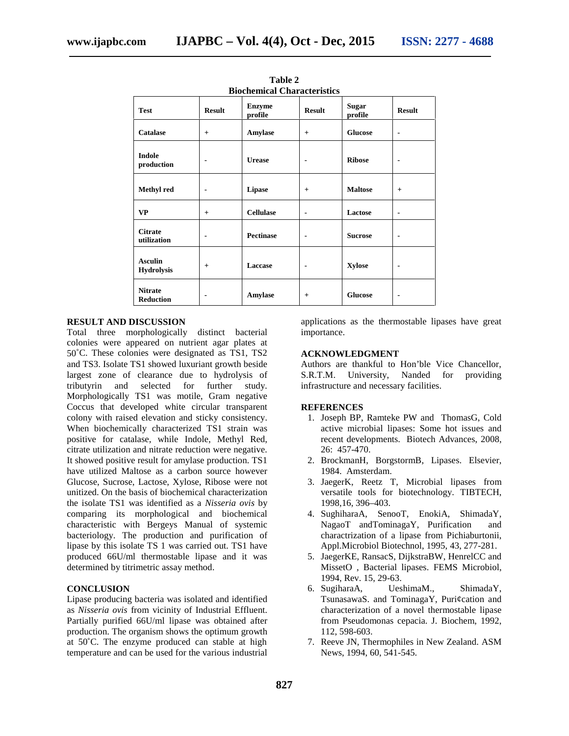| <b>Biochemical Characteristics</b>  |                |                          |                          |                         |                |  |  |
|-------------------------------------|----------------|--------------------------|--------------------------|-------------------------|----------------|--|--|
| <b>Test</b>                         | <b>Result</b>  | <b>Enzyme</b><br>profile | <b>Result</b>            | <b>Sugar</b><br>profile | <b>Result</b>  |  |  |
| <b>Catalase</b>                     | $^{+}$         | Amylase                  | $+$                      | <b>Glucose</b>          | $\blacksquare$ |  |  |
| Indole<br>production                | $\blacksquare$ | <b>Urease</b>            | $\overline{\phantom{0}}$ | <b>Ribose</b>           | $\blacksquare$ |  |  |
| Methyl red                          | $\blacksquare$ | Lipase                   | $+$                      | <b>Maltose</b>          | $+$            |  |  |
| <b>VP</b>                           | $^{+}$         | <b>Cellulase</b>         | $\blacksquare$           | Lactose                 | ۰              |  |  |
| <b>Citrate</b><br>utilization       | $\blacksquare$ | <b>Pectinase</b>         | $\blacksquare$           | <b>Sucrose</b>          | $\blacksquare$ |  |  |
| <b>Asculin</b><br><b>Hydrolysis</b> | $+$            | Laccase                  | $\blacksquare$           | Xylose                  | $\blacksquare$ |  |  |
| <b>Nitrate</b><br><b>Reduction</b>  | ٠              | Amylase                  | $+$                      | <b>Glucose</b>          | $\blacksquare$ |  |  |

**Table 2**

# **RESULT AND DISCUSSION**

Total three morphologically distinct bacterial colonies were appeared on nutrient agar plates at 50˚C. These colonies were designated as TS1, TS2 and TS3. Isolate TS1 showed luxuriant growth beside largest zone of clearance due to hydrolysis of tributyrin and selected for further study. Morphologically TS1 was motile, Gram negative Coccus that developed white circular transparent colony with raised elevation and sticky consistency. When biochemically characterized TS1 strain was positive for catalase, while Indole, Methyl Red, citrate utilization and nitrate reduction were negative. It showed positive result for amylase production. TS1 have utilized Maltose as a carbon source however Glucose, Sucrose, Lactose, Xylose, Ribose were not unitized. On the basis of biochemical characterization the isolate TS1 was identified as a *Nisseria ovis* by comparing its morphological and biochemical characteristic with Bergeys Manual of systemic bacteriology. The production and purification of lipase by this isolate TS 1 was carried out. TS1 have produced 66U/ml thermostable lipase and it was determined by titrimetric assay method.

## **CONCLUSION**

Lipase producing bacteria was isolated and identified as *Nisseria ovis* from vicinity of Industrial Effluent. Partially purified 66U/ml lipase was obtained after production. The organism shows the optimum growth at 50˚C. The enzyme produced can stable at high temperature and can be used for the various industrial

applications as the thermostable lipases have great importance.

#### **ACKNOWLEDGMENT**

Authors are thankful to Hon'ble Vice Chancellor, S.R.T.M. University, Nanded for providing infrastructure and necessary facilities.

#### **REFERENCES**

- 1. Joseph BP, Ramteke PW and ThomasG, Cold active microbial lipases: Some hot issues and recent developments. Biotech Advances, 2008, 26: 457-470.
- 2. BrockmanH, BorgstormB, Lipases. Elsevier, 1984. Amsterdam.
- 3. JaegerK, Reetz T, Microbial lipases from versatile tools for biotechnology. TIBTECH, 1998,16, 396–403.
- 4. SughiharaA, SenooT, EnokiA, ShimadaY, NagaoT andTominagaY, Purification and charactrization of a lipase from Pichiaburtonii, Appl.Microbiol Biotechnol, 1995, 43, 277-281.
- 5. JaegerKE, RansacS, DijkstraBW, HenrelCC and MissetO , Bacterial lipases. FEMS Microbiol, 1994, Rev. 15, 29-63.
- 6. SugiharaA, UeshimaM., ShimadaY, TsunasawaS. and TominagaY, Puri¢cation and characterization of a novel thermostable lipase from Pseudomonas cepacia. J. Biochem, 1992, 112, 598-603.
- 7. Reeve JN, Thermophiles in New Zealand. ASM News, 1994, 60, 541-545.